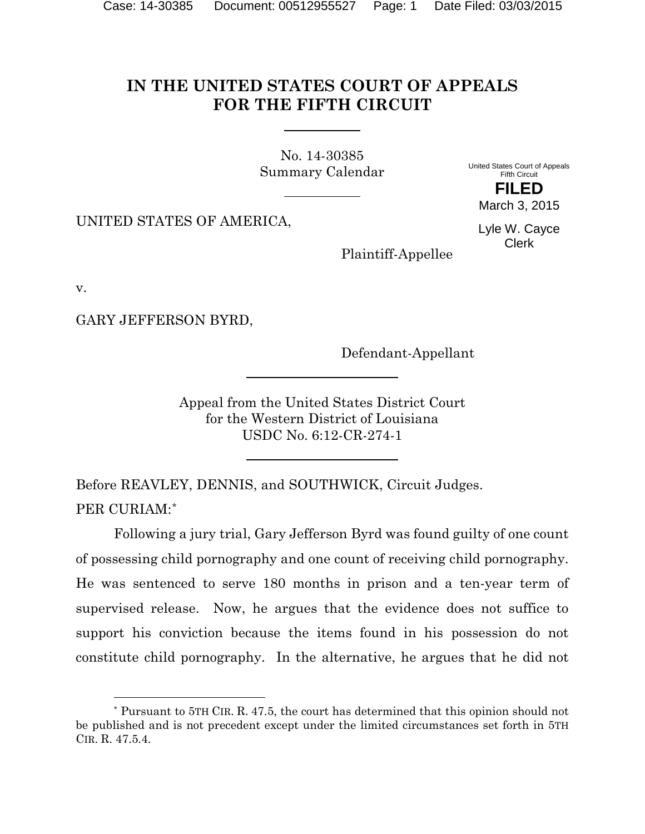## **IN THE UNITED STATES COURT OF APPEALS FOR THE FIFTH CIRCUIT**

<span id="page-0-1"></span>No. 14-30385 Summary Calendar

United States Court of Appeals Fifth Circuit **FILED**

March 3, 2015

UNITED STATES OF AMERICA,

Lyle W. Cayce Clerk

Plaintiff-Appellee

v.

l

GARY JEFFERSON BYRD,

Defendant-Appellant

Appeal from the United States District Court for the Western District of Louisiana USDC No. 6:12-CR-274-1

Before REAVLEY, DENNIS, and SOUTHWICK, Circuit Judges. PER CURIAM:[\\*](#page-0-0)

Following a jury trial, Gary Jefferson Byrd was found guilty of one count of possessing child pornography and one count of receiving child pornography. He was sentenced to serve 180 months in prison and a ten-year term of supervised release. Now, he argues that the evidence does not suffice to support his conviction because the items found in his possession do not constitute child pornography. In the alternative, he argues that he did not

<span id="page-0-0"></span><sup>\*</sup> Pursuant to 5TH CIR. R. 47.5, the court has determined that this opinion should not be published and is not precedent except under the limited circumstances set forth in 5TH CIR. R. 47.5.4.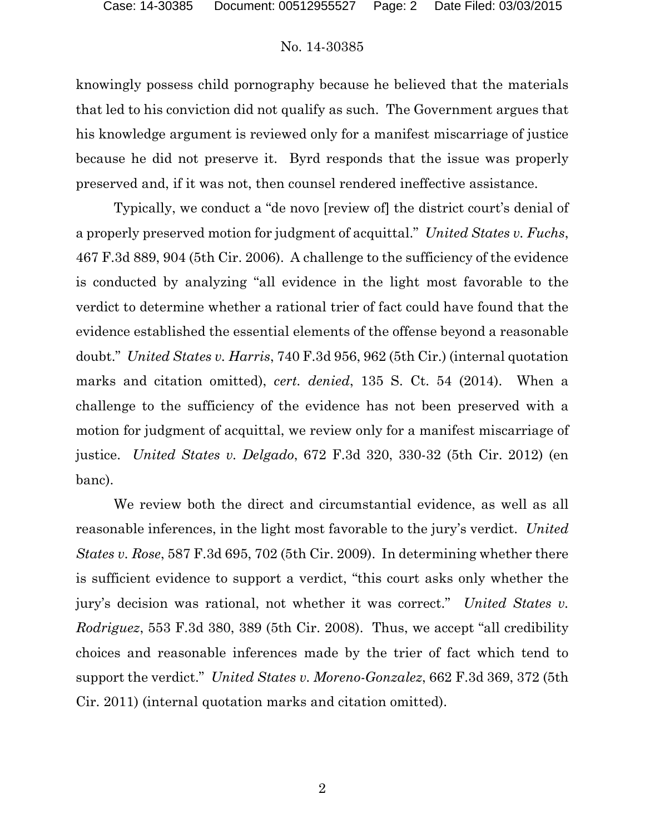## No. [14-30385](#page-0-1)

knowingly possess child pornography because he believed that the materials that led to his conviction did not qualify as such. The Government argues that his knowledge argument is reviewed only for a manifest miscarriage of justice because he did not preserve it. Byrd responds that the issue was properly preserved and, if it was not, then counsel rendered ineffective assistance.

Typically, we conduct a "de novo [review of] the district court's denial of a properly preserved motion for judgment of acquittal." *United States v. Fuchs*, 467 F.3d 889, 904 (5th Cir. 2006). A challenge to the sufficiency of the evidence is conducted by analyzing "all evidence in the light most favorable to the verdict to determine whether a rational trier of fact could have found that the evidence established the essential elements of the offense beyond a reasonable doubt." *United States v. Harris*, 740 F.3d 956, 962 (5th Cir.) (internal quotation marks and citation omitted), *cert. denied*, 135 S. Ct. 54 (2014). When a challenge to the sufficiency of the evidence has not been preserved with a motion for judgment of acquittal, we review only for a manifest miscarriage of justice. *United States v. Delgado*, 672 F.3d 320, 330-32 (5th Cir. 2012) (en banc).

We review both the direct and circumstantial evidence, as well as all reasonable inferences, in the light most favorable to the jury's verdict. *United States v. Rose*, 587 F.3d 695, 702 (5th Cir. 2009). In determining whether there is sufficient evidence to support a verdict, "this court asks only whether the jury's decision was rational, not whether it was correct." *United States v. Rodriguez*, 553 F.3d 380, 389 (5th Cir. 2008). Thus, we accept "all credibility choices and reasonable inferences made by the trier of fact which tend to support the verdict." *United States v. Moreno-Gonzalez*, 662 F.3d 369, 372 (5th Cir. 2011) (internal quotation marks and citation omitted).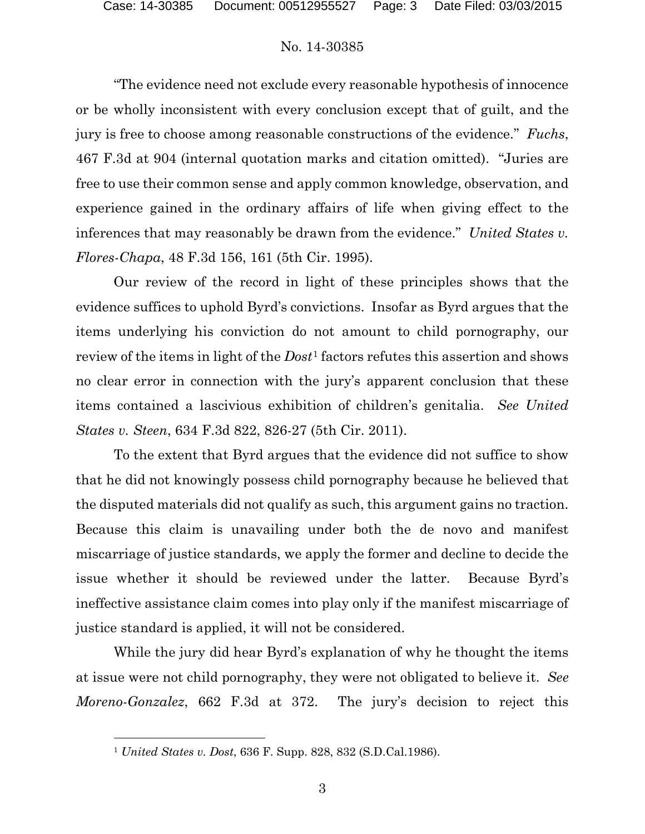## No. [14-30385](#page-0-1)

"The evidence need not exclude every reasonable hypothesis of innocence or be wholly inconsistent with every conclusion except that of guilt, and the jury is free to choose among reasonable constructions of the evidence." *Fuchs*, 467 F.3d at 904 (internal quotation marks and citation omitted). "Juries are free to use their common sense and apply common knowledge, observation, and experience gained in the ordinary affairs of life when giving effect to the inferences that may reasonably be drawn from the evidence." *United States v. Flores-Chapa*, 48 F.3d 156, 161 (5th Cir. 1995).

Our review of the record in light of these principles shows that the evidence suffices to uphold Byrd's convictions. Insofar as Byrd argues that the items underlying his conviction do not amount to child pornography, our review of the items in light of the *Dost*[1](#page-2-0) factors refutes this assertion and shows no clear error in connection with the jury's apparent conclusion that these items contained a lascivious exhibition of children's genitalia. *See United States v. Steen*, 634 F.3d 822, 826-27 (5th Cir. 2011).

To the extent that Byrd argues that the evidence did not suffice to show that he did not knowingly possess child pornography because he believed that the disputed materials did not qualify as such, this argument gains no traction. Because this claim is unavailing under both the de novo and manifest miscarriage of justice standards, we apply the former and decline to decide the issue whether it should be reviewed under the latter. Because Byrd's ineffective assistance claim comes into play only if the manifest miscarriage of justice standard is applied, it will not be considered.

While the jury did hear Byrd's explanation of why he thought the items at issue were not child pornography, they were not obligated to believe it. *See Moreno-Gonzalez*, 662 F.3d at 372. The jury's decision to reject this

 $\overline{a}$ 

<span id="page-2-0"></span><sup>1</sup> *United States v. Dost*, 636 F. Supp. 828, 832 (S.D.Cal.1986).